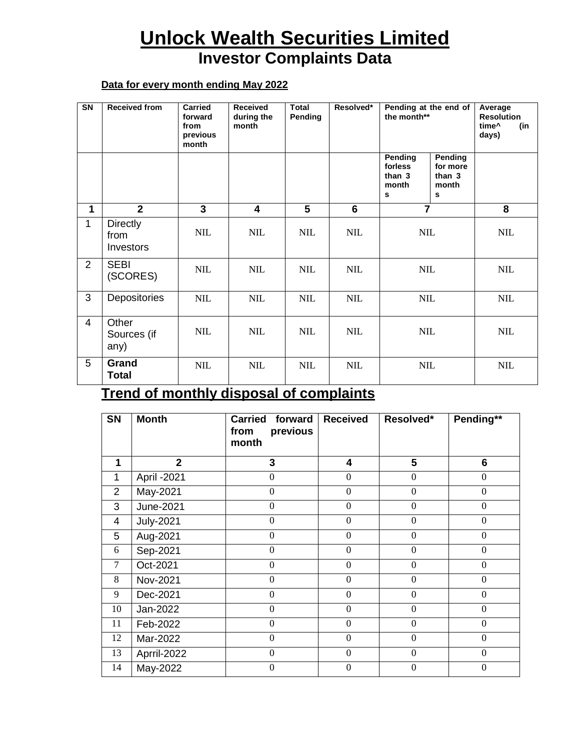## **Unlock Wealth Securities Limited Investor Complaints Data**

## **Data for every month ending May 2022**

| SN             | <b>Received from</b>                 | Carried<br>forward<br>from<br>previous<br>month | <b>Received</b><br>during the<br>month | Total<br>Pending | Resolved*  | Pending at the end of<br>the month**       |                                             | Average<br><b>Resolution</b><br>time <sup>^</sup><br>(in<br>days) |
|----------------|--------------------------------------|-------------------------------------------------|----------------------------------------|------------------|------------|--------------------------------------------|---------------------------------------------|-------------------------------------------------------------------|
|                |                                      |                                                 |                                        |                  |            | Pending<br>forless<br>than 3<br>month<br>s | Pending<br>for more<br>than 3<br>month<br>s |                                                                   |
| 1              | $\mathbf{2}$                         | $\overline{3}$                                  | $\overline{\mathbf{4}}$                | 5                | 6          | $\overline{7}$                             |                                             | 8                                                                 |
| $\mathbf{1}$   | <b>Directly</b><br>from<br>Investors | NIL                                             | <b>NIL</b>                             | <b>NIL</b>       | <b>NIL</b> | <b>NIL</b>                                 |                                             | <b>NIL</b>                                                        |
| 2              | <b>SEBI</b><br>(SCORES)              | <b>NIL</b>                                      | <b>NIL</b>                             | <b>NIL</b>       | <b>NIL</b> | $\text{NIL}$                               |                                             | <b>NIL</b>                                                        |
| 3              | Depositories                         | $\text{NIL}$                                    | <b>NIL</b>                             | <b>NIL</b>       | <b>NIL</b> | $\text{NIL}$                               |                                             | $\text{NIL}$                                                      |
| $\overline{4}$ | Other<br>Sources (if<br>any)         | <b>NIL</b>                                      | <b>NIL</b>                             | <b>NIL</b>       | <b>NIL</b> | <b>NIL</b>                                 |                                             | <b>NIL</b>                                                        |
| 5              | Grand<br><b>Total</b>                | <b>NIL</b>                                      | <b>NIL</b>                             | <b>NIL</b>       | <b>NIL</b> | $\text{NIL}$                               |                                             | <b>NIL</b>                                                        |

## **Trend of monthly disposal of complaints**

| <b>SN</b> | <b>Month</b>     | <b>Carried</b><br>forward<br>previous<br>from<br>month | <b>Received</b>         | Resolved*        | Pending**        |
|-----------|------------------|--------------------------------------------------------|-------------------------|------------------|------------------|
| 1         | $\overline{2}$   | 3                                                      | $\overline{\mathbf{4}}$ | 5                | 6                |
| 1         | April - 2021     | $\boldsymbol{0}$                                       | $\boldsymbol{0}$        | $\Omega$         | $\boldsymbol{0}$ |
| 2         | May-2021         | $\boldsymbol{0}$                                       | $\boldsymbol{0}$        | $\Omega$         | $\theta$         |
| 3         | June-2021        | $\boldsymbol{0}$                                       | $\boldsymbol{0}$        | $\Omega$         | $\theta$         |
| 4         | <b>July-2021</b> | $\boldsymbol{0}$                                       | $\boldsymbol{0}$        | $\overline{0}$   | $\boldsymbol{0}$ |
| 5         | Aug-2021         | $\overline{0}$                                         | $\overline{0}$          | $\theta$         | $\theta$         |
| 6         | Sep-2021         | $\boldsymbol{0}$                                       | $\boldsymbol{0}$        | $\boldsymbol{0}$ | $\boldsymbol{0}$ |
| $\tau$    | Oct-2021         | $\boldsymbol{0}$                                       | $\boldsymbol{0}$        | $\boldsymbol{0}$ | $\overline{0}$   |
| 8         | Nov-2021         | $\boldsymbol{0}$                                       | $\boldsymbol{0}$        | $\boldsymbol{0}$ | $\boldsymbol{0}$ |
| 9         | Dec-2021         | $\boldsymbol{0}$                                       | $\boldsymbol{0}$        | $\boldsymbol{0}$ | $\boldsymbol{0}$ |
| 10        | Jan-2022         | $\mathbf{0}$                                           | $\boldsymbol{0}$        | $\overline{0}$   | $\theta$         |
| 11        | Feb-2022         | $\mathbf{0}$                                           | $\boldsymbol{0}$        | $\overline{0}$   | $\boldsymbol{0}$ |
| 12        | Mar-2022         | $\mathbf{0}$                                           | $\boldsymbol{0}$        | $\overline{0}$   | $\overline{0}$   |
| 13        | Aprril-2022      | $\boldsymbol{0}$                                       | $\boldsymbol{0}$        | $\overline{0}$   | $\boldsymbol{0}$ |
| 14        | May-2022         | $\overline{0}$                                         | $\boldsymbol{0}$        | $\theta$         | $\boldsymbol{0}$ |